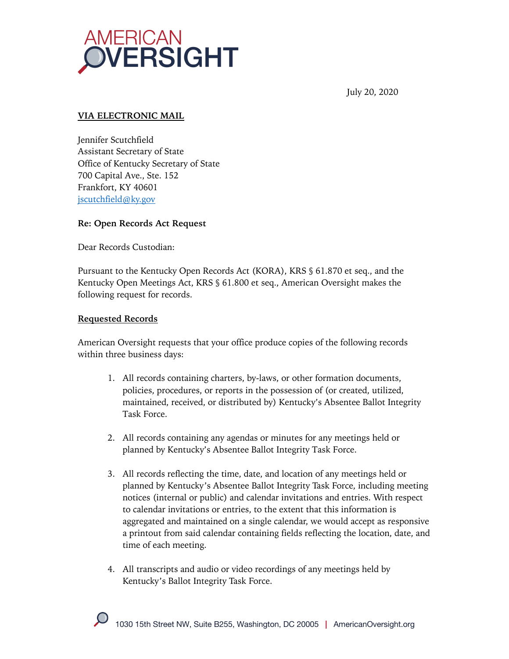

July 20, 2020

### **VIA ELECTRONIC MAIL**

Jennifer Scutchfield Assistant Secretary of State Office of Kentucky Secretary of State 700 Capital Ave., Ste. 152 Frankfort, KY 40601 jscutchfield@ky.gov

#### **Re: Open Records Act Request**

Dear Records Custodian:

Pursuant to the Kentucky Open Records Act (KORA), KRS § 61.870 et seq., and the Kentucky Open Meetings Act, KRS § 61.800 et seq., American Oversight makes the following request for records.

#### **Requested Records**

American Oversight requests that your office produce copies of the following records within three business days:

- 1. All records containing charters, by-laws, or other formation documents, policies, procedures, or reports in the possession of (or created, utilized, maintained, received, or distributed by) Kentucky's Absentee Ballot Integrity Task Force.
- 2. All records containing any agendas or minutes for any meetings held or planned by Kentucky's Absentee Ballot Integrity Task Force.
- 3. All records reflecting the time, date, and location of any meetings held or planned by Kentucky's Absentee Ballot Integrity Task Force, including meeting notices (internal or public) and calendar invitations and entries. With respect to calendar invitations or entries, to the extent that this information is aggregated and maintained on a single calendar, we would accept as responsive a printout from said calendar containing fields reflecting the location, date, and time of each meeting.
- 4. All transcripts and audio or video recordings of any meetings held by Kentucky's Ballot Integrity Task Force.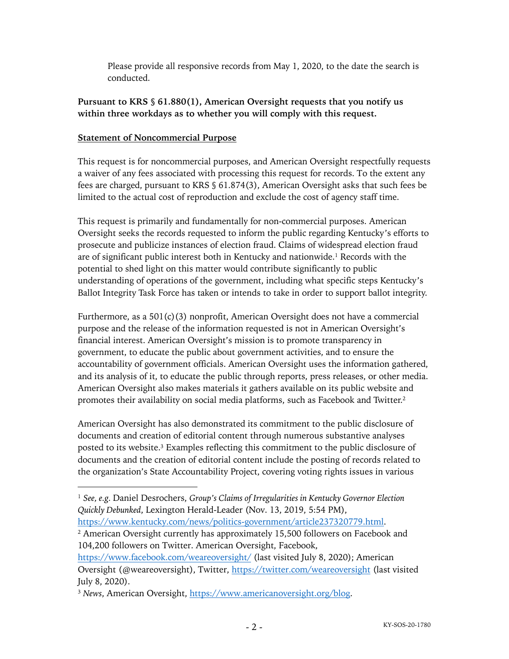Please provide all responsive records from May 1, 2020, to the date the search is conducted.

# **Pursuant to KRS § 61.880(1), American Oversight requests that you notify us within three workdays as to whether you will comply with this request.**

# **Statement of Noncommercial Purpose**

This request is for noncommercial purposes, and American Oversight respectfully requests a waiver of any fees associated with processing this request for records. To the extent any fees are charged, pursuant to KRS § 61.874(3), American Oversight asks that such fees be limited to the actual cost of reproduction and exclude the cost of agency staff time.

This request is primarily and fundamentally for non-commercial purposes. American Oversight seeks the records requested to inform the public regarding Kentucky's efforts to prosecute and publicize instances of election fraud. Claims of widespread election fraud are of significant public interest both in Kentucky and nationwide.<sup>1</sup> Records with the potential to shed light on this matter would contribute significantly to public understanding of operations of the government, including what specific steps Kentucky's Ballot Integrity Task Force has taken or intends to take in order to support ballot integrity.

Furthermore, as a  $501(c)(3)$  nonprofit, American Oversight does not have a commercial purpose and the release of the information requested is not in American Oversight's financial interest. American Oversight's mission is to promote transparency in government, to educate the public about government activities, and to ensure the accountability of government officials. American Oversight uses the information gathered, and its analysis of it, to educate the public through reports, press releases, or other media. American Oversight also makes materials it gathers available on its public website and promotes their availability on social media platforms, such as Facebook and Twitter.2

American Oversight has also demonstrated its commitment to the public disclosure of documents and creation of editorial content through numerous substantive analyses posted to its website.3 Examples reflecting this commitment to the public disclosure of documents and the creation of editorial content include the posting of records related to the organization's State Accountability Project, covering voting rights issues in various

<sup>1</sup> *See, e.g.* Daniel Desrochers, *Group's Claims of Irregularities in Kentucky Governor Election Quickly Debunked*, Lexington Herald-Leader (Nov. 13, 2019, 5:54 PM),

https://www.kentucky.com/news/politics-government/article237320779.html.

<sup>2</sup> American Oversight currently has approximately 15,500 followers on Facebook and 104,200 followers on Twitter. American Oversight, Facebook,

https://www.facebook.com/weareoversight/ (last visited July 8, 2020); American Oversight (@weareoversight), Twitter, https://twitter.com/weareoversight (last visited July 8, 2020).

<sup>3</sup> *News*, American Oversight, https://www.americanoversight.org/blog.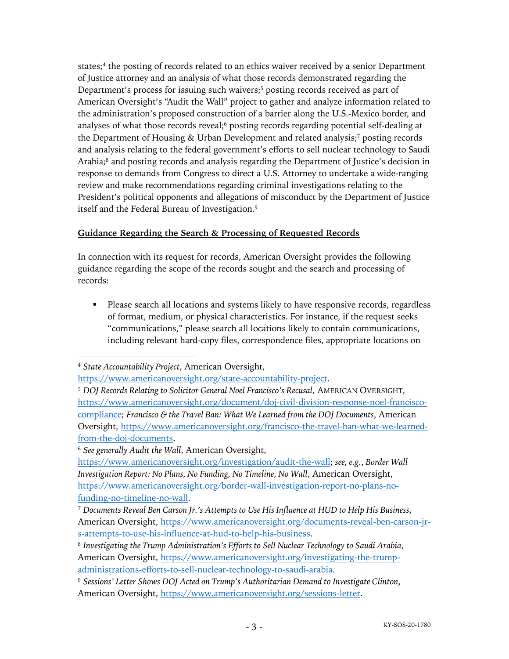states;<sup>4</sup> the posting of records related to an ethics waiver received by a senior Department of Justice attorney and an analysis of what those records demonstrated regarding the Department's process for issuing such waivers;<sup>5</sup> posting records received as part of American Oversight's "Audit the Wall" project to gather and analyze information related to the administration's proposed construction of a barrier along the U.S.-Mexico border, and analyses of what those records reveal;<sup>6</sup> posting records regarding potential self-dealing at the Department of Housing & Urban Development and related analysis;<sup>7</sup> posting records and analysis relating to the federal government's efforts to sell nuclear technology to Saudi Arabia;<sup>8</sup> and posting records and analysis regarding the Department of Justice's decision in response to demands from Congress to direct a U.S. Attorney to undertake a wide-ranging review and make recommendations regarding criminal investigations relating to the President's political opponents and allegations of misconduct by the Department of Justice itself and the Federal Bureau of Investigation.<sup>9</sup>

# **Guidance Regarding the Search & Processing of Requested Records**

In connection with its request for records, American Oversight provides the following guidance regarding the scope of the records sought and the search and processing of records:

• Please search all locations and systems likely to have responsive records, regardless of format, medium, or physical characteristics. For instance, if the request seeks "communications," please search all locations likely to contain communications, including relevant hard-copy files, correspondence files, appropriate locations on

<sup>6</sup> *See generally Audit the Wall*, American Oversight,

<sup>4</sup> *State Accountability Project*, American Oversight,

https://www.americanoversight.org/state-accountability-project.

<sup>5</sup> *DOJ Records Relating to Solicitor General Noel Francisco's Recusal*, AMERICAN OVERSIGHT, https://www.americanoversight.org/document/doj-civil-division-response-noel-franciscocompliance; *Francisco & the Travel Ban: What We Learned from the DOJ Documents*, American Oversight, https://www.americanoversight.org/francisco-the-travel-ban-what-we-learnedfrom-the-doj-documents.

https://www.americanoversight.org/investigation/audit-the-wall; *see, e.g.*, *Border Wall Investigation Report: No Plans, No Funding, No Timeline, No Wall*, American Oversight, https://www.americanoversight.org/border-wall-investigation-report-no-plans-nofunding-no-timeline-no-wall.

<sup>7</sup> *Documents Reveal Ben Carson Jr.'s Attempts to Use His Influence at HUD to Help His Business*, American Oversight, https://www.americanoversight.org/documents-reveal-ben-carson-jrs-attempts-to-use-his-influence-at-hud-to-help-his-business.

<sup>8</sup> *Investigating the Trump Administration's Efforts to Sell Nuclear Technology to Saudi Arabia*, American Oversight, https://www.americanoversight.org/investigating-the-trumpadministrations-efforts-to-sell-nuclear-technology-to-saudi-arabia.

<sup>9</sup> *Sessions' Letter Shows DOJ Acted on Trump's Authoritarian Demand to Investigate Clinton*, American Oversight, https://www.americanoversight.org/sessions-letter.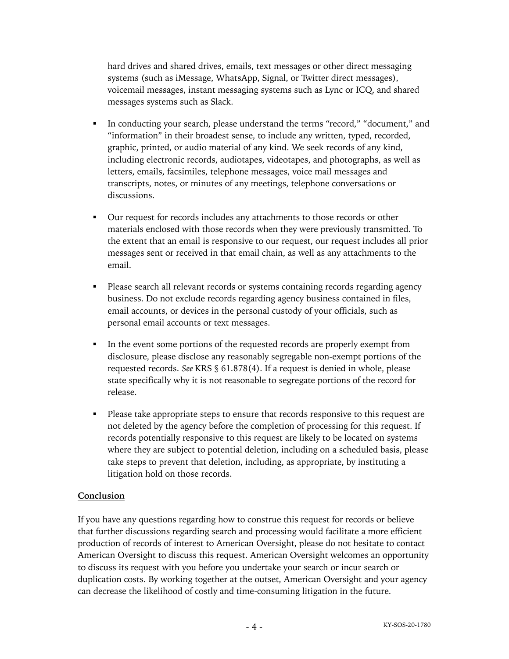hard drives and shared drives, emails, text messages or other direct messaging systems (such as iMessage, WhatsApp, Signal, or Twitter direct messages), voicemail messages, instant messaging systems such as Lync or ICQ, and shared messages systems such as Slack.

- In conducting your search, please understand the terms "record," "document," and "information" in their broadest sense, to include any written, typed, recorded, graphic, printed, or audio material of any kind. We seek records of any kind, including electronic records, audiotapes, videotapes, and photographs, as well as letters, emails, facsimiles, telephone messages, voice mail messages and transcripts, notes, or minutes of any meetings, telephone conversations or discussions.
- § Our request for records includes any attachments to those records or other materials enclosed with those records when they were previously transmitted. To the extent that an email is responsive to our request, our request includes all prior messages sent or received in that email chain, as well as any attachments to the email.
- Please search all relevant records or systems containing records regarding agency business. Do not exclude records regarding agency business contained in files, email accounts, or devices in the personal custody of your officials, such as personal email accounts or text messages.
- In the event some portions of the requested records are properly exempt from disclosure, please disclose any reasonably segregable non-exempt portions of the requested records. *See* KRS § 61.878(4). If a request is denied in whole, please state specifically why it is not reasonable to segregate portions of the record for release.
- Please take appropriate steps to ensure that records responsive to this request are not deleted by the agency before the completion of processing for this request. If records potentially responsive to this request are likely to be located on systems where they are subject to potential deletion, including on a scheduled basis, please take steps to prevent that deletion, including, as appropriate, by instituting a litigation hold on those records.

#### **Conclusion**

If you have any questions regarding how to construe this request for records or believe that further discussions regarding search and processing would facilitate a more efficient production of records of interest to American Oversight, please do not hesitate to contact American Oversight to discuss this request. American Oversight welcomes an opportunity to discuss its request with you before you undertake your search or incur search or duplication costs. By working together at the outset, American Oversight and your agency can decrease the likelihood of costly and time-consuming litigation in the future.